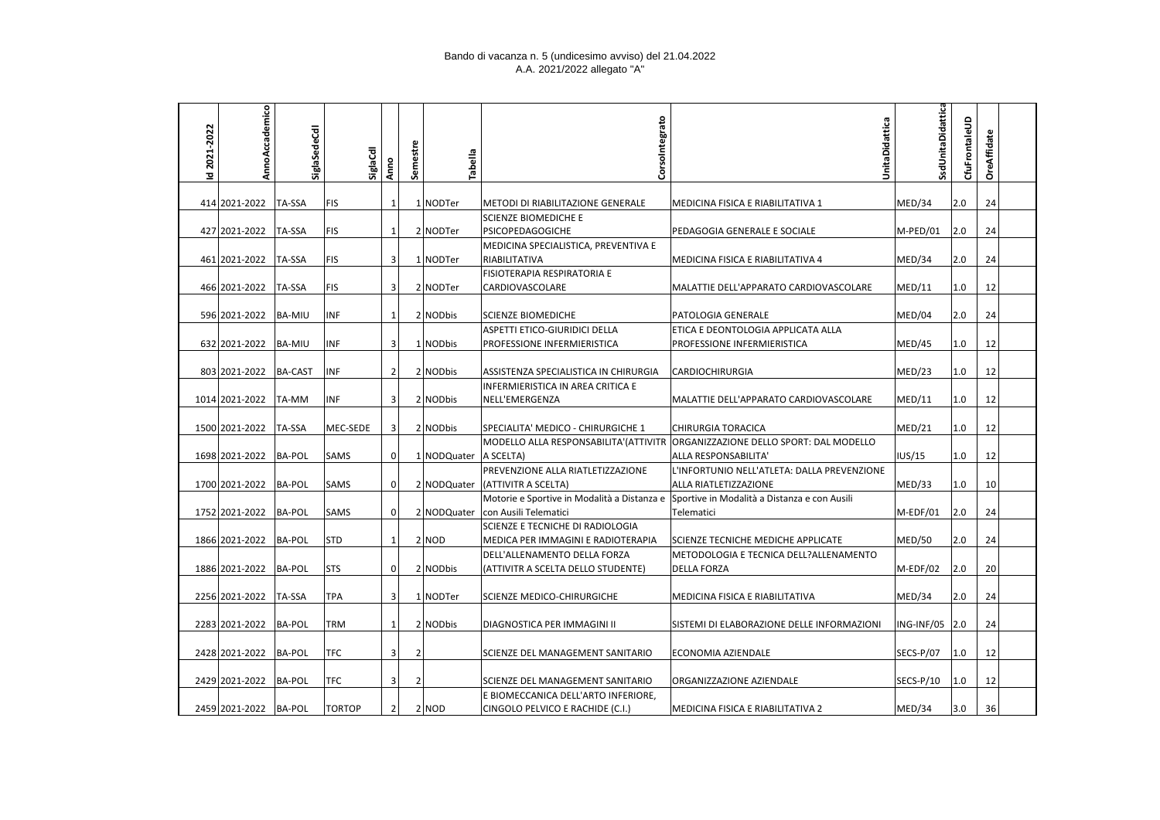## Bando di vacanza n. 5 (undicesimo avviso) del 21.04.2022 A.A. 2021/2022 allegato "A"

| 2021-2022 | AnnoAccademico         | SiglaSedeCdl  | SiglaCdl      | Anno           | Semestre | Tabella                 | Corsolntegrato                                                         | UnitaDidattica                                                                | SsdUnitaDidattica | CfuFrontaleUD | OreAffidate |  |
|-----------|------------------------|---------------|---------------|----------------|----------|-------------------------|------------------------------------------------------------------------|-------------------------------------------------------------------------------|-------------------|---------------|-------------|--|
| 호         |                        |               |               |                |          |                         |                                                                        |                                                                               |                   |               |             |  |
|           | 414 2021-2022          | TA-SSA        | <b>FIS</b>    | 1              |          | 1 NODTer                | METODI DI RIABILITAZIONE GENERALE                                      | MEDICINA FISICA E RIABILITATIVA 1                                             | MED/34            | 2.0           | 24          |  |
|           |                        |               |               |                |          |                         | <b>SCIENZE BIOMEDICHE E</b>                                            |                                                                               |                   |               |             |  |
|           | 427 2021-2022          | TA-SSA        | <b>FIS</b>    | $\mathbf{1}$   |          | 2 NODTer                | PSICOPEDAGOGICHE                                                       | PEDAGOGIA GENERALE E SOCIALE                                                  | M-PED/01          | 2.0           | 24          |  |
|           |                        |               |               |                |          |                         | MEDICINA SPECIALISTICA, PREVENTIVA E                                   |                                                                               |                   |               |             |  |
|           | 461 2021-2022          | TA-SSA        | <b>FIS</b>    | 3              |          | 1 NODTer                | RIABILITATIVA                                                          | MEDICINA FISICA E RIABILITATIVA 4                                             | MED/34            | 2.0           | 24          |  |
|           |                        |               |               |                |          |                         | FISIOTERAPIA RESPIRATORIA E                                            |                                                                               |                   |               |             |  |
|           | 466 2021-2022          | TA-SSA        | <b>FIS</b>    | $\overline{3}$ |          | 2 NODTer                | CARDIOVASCOLARE                                                        | MALATTIE DELL'APPARATO CARDIOVASCOLARE                                        | MED/11            | 1.0           | 12          |  |
|           | 596 2021-2022   BA-MIU |               | <b>INF</b>    | $\mathbf{1}$   |          | 2 NODbis                | <b>SCIENZE BIOMEDICHE</b>                                              | PATOLOGIA GENERALE                                                            | MED/04            | 2.0           | 24          |  |
|           |                        |               |               |                |          |                         | ASPETTI ETICO-GIURIDICI DELLA                                          | ETICA E DEONTOLOGIA APPLICATA ALLA                                            |                   |               |             |  |
|           | 632 2021-2022 BA-MIU   |               | INF           | $\overline{3}$ |          | 1 NODbis                | PROFESSIONE INFERMIERISTICA                                            | PROFESSIONE INFERMIERISTICA                                                   | MED/45            | $1.0\,$       | 12          |  |
|           |                        |               |               |                |          |                         |                                                                        |                                                                               |                   |               |             |  |
|           | 803 2021-2022          | BA-CAST       | <b>INF</b>    | $\overline{2}$ |          | 2 NODbis                | ASSISTENZA SPECIALISTICA IN CHIRURGIA                                  | <b>CARDIOCHIRURGIA</b>                                                        | MED/23            | 1.0           | 12          |  |
|           |                        |               |               |                |          |                         | INFERMIERISTICA IN AREA CRITICA E                                      |                                                                               |                   |               |             |  |
|           | 1014 2021-2022         | TA-MM         | <b>INF</b>    | $\overline{3}$ |          | 2 NODbis                | NELL'EMERGENZA                                                         | MALATTIE DELL'APPARATO CARDIOVASCOLARE                                        | MED/11            | 1.0           | 12          |  |
|           | 1500 2021-2022         | TA-SSA        | MEC-SEDE      | 3              |          | 2 NODbis                | SPECIALITA' MEDICO - CHIRURGICHE 1                                     | <b>CHIRURGIA TORACICA</b>                                                     | MED/21            | 1.0           | 12          |  |
|           |                        |               |               |                |          |                         |                                                                        | MODELLO ALLA RESPONSABILITA'(ATTIVITR ORGANIZZAZIONE DELLO SPORT: DAL MODELLO |                   |               |             |  |
|           | 1698 2021-2022         | BA-POL        | SAMS          | $\overline{0}$ |          | 1 NODQuater   A SCELTA) |                                                                        | ALLA RESPONSABILITA'                                                          | IUS/15            | 1.0           | 12          |  |
|           |                        |               |               |                |          |                         | PREVENZIONE ALLA RIATLETIZZAZIONE                                      | L'INFORTUNIO NELL'ATLETA: DALLA PREVENZIONE                                   |                   |               |             |  |
|           | 1700 2021-2022         | <b>BA-POL</b> | SAMS          | $\overline{0}$ |          | 2 NODQuater             | (ATTIVITR A SCELTA)                                                    | ALLA RIATLETIZZAZIONE                                                         | MED/33            | $1.0\,$       | 10          |  |
|           |                        |               |               |                |          |                         | Motorie e Sportive in Modalità a Distanza e                            | Sportive in Modalità a Distanza e con Ausili                                  |                   |               |             |  |
|           | 1752 2021-2022         | BA-POL        | SAMS          | $\overline{0}$ |          | 2 NODQuater             | con Ausili Telematici                                                  | Telematici                                                                    | M-EDF/01          | 2.0           | 24          |  |
|           | 1866 2021-2022         | <b>BA-POL</b> | <b>STD</b>    | 1              |          | 2 NOD                   | SCIENZE E TECNICHE DI RADIOLOGIA<br>MEDICA PER IMMAGINI E RADIOTERAPIA | SCIENZE TECNICHE MEDICHE APPLICATE                                            | <b>MED/50</b>     | 2.0           | 24          |  |
|           |                        |               |               |                |          |                         | DELL'ALLENAMENTO DELLA FORZA                                           | METODOLOGIA E TECNICA DELL?ALLENAMENTO                                        |                   |               |             |  |
|           | 1886 2021-2022         | BA-POL        | STS           | $\mathbf 0$    |          | 2 NODbis                | (ATTIVITR A SCELTA DELLO STUDENTE)                                     | <b>DELLA FORZA</b>                                                            | $M$ -EDF/02       | 2.0           | 20          |  |
|           |                        |               |               |                |          |                         |                                                                        |                                                                               |                   |               |             |  |
|           | 2256 2021-2022         | <b>TA-SSA</b> | TPA           | 3              |          | 1 NODTer                | SCIENZE MEDICO-CHIRURGICHE                                             | MEDICINA FISICA E RIABILITATIVA                                               | MED/34            | 2.0           | 24          |  |
|           |                        |               |               |                |          |                         |                                                                        |                                                                               |                   |               |             |  |
|           | 2283 2021-2022         | <b>BA-POL</b> | <b>TRM</b>    | $\mathbf{1}$   |          | 2 NODbis                | DIAGNOSTICA PER IMMAGINI II                                            | SISTEMI DI ELABORAZIONE DELLE INFORMAZIONI                                    | ING-INF/05 2.0    |               | 24          |  |
|           |                        |               |               |                |          |                         |                                                                        |                                                                               |                   |               |             |  |
|           | 2428 2021-2022         | BA-POL        | TFC           | 3 <sup>1</sup> | 2        |                         | SCIENZE DEL MANAGEMENT SANITARIO                                       | ECONOMIA AZIENDALE                                                            | SECS-P/07         | 1.0           | 12          |  |
|           | 2429 2021-2022         | BA-POL        | TFC           | 3              | 2        |                         | SCIENZE DEL MANAGEMENT SANITARIO                                       | ORGANIZZAZIONE AZIENDALE                                                      | SECS-P/10         | 1.0           | 12          |  |
|           |                        |               |               |                |          |                         | E BIOMECCANICA DELL'ARTO INFERIORE,                                    |                                                                               |                   |               |             |  |
|           | 2459 2021-2022 BA-POL  |               | <b>TORTOP</b> | 2              |          | 2 NOD                   | CINGOLO PELVICO E RACHIDE (C.I.)                                       | MEDICINA FISICA E RIABILITATIVA 2                                             | MED/34            | 3.0           | 36          |  |